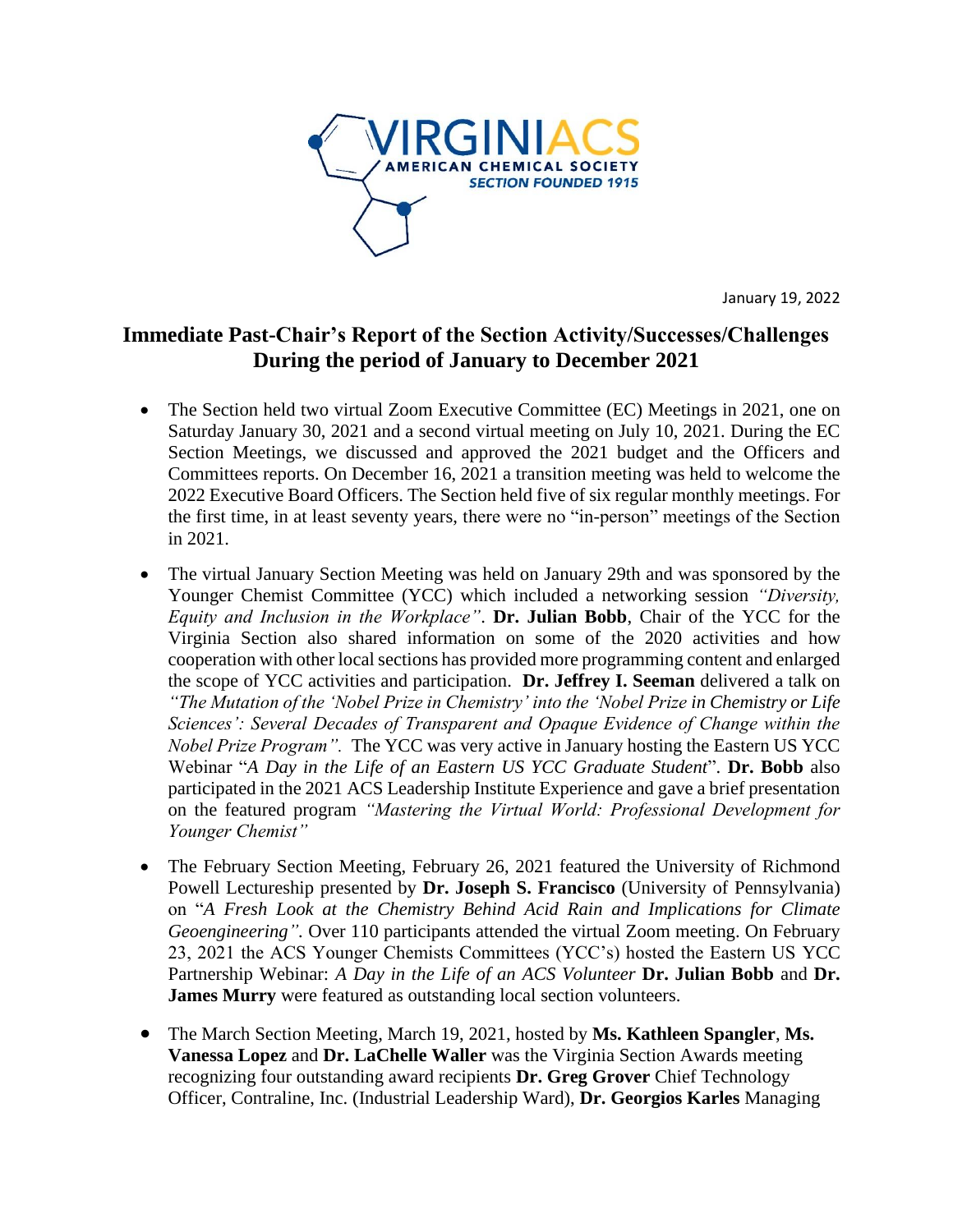

January 19, 2022

## **Immediate Past-Chair's Report of the Section Activity/Successes/Challenges During the period of January to December 2021**

- The Section held two virtual Zoom Executive Committee (EC) Meetings in 2021, one on Saturday January 30, 2021 and a second virtual meeting on July 10, 2021. During the EC Section Meetings, we discussed and approved the 2021 budget and the Officers and Committees reports. On December 16, 2021 a transition meeting was held to welcome the 2022 Executive Board Officers. The Section held five of six regular monthly meetings. For the first time, in at least seventy years, there were no "in-person" meetings of the Section in 2021.
- The virtual January Section Meeting was held on January 29th and was sponsored by the Younger Chemist Committee (YCC) which included a networking session *"Diversity, Equity and Inclusion in the Workplace"*. **Dr. Julian Bobb**, Chair of the YCC for the Virginia Section also shared information on some of the 2020 activities and how cooperation with other local sections has provided more programming content and enlarged the scope of YCC activities and participation. **Dr. Jeffrey I. Seeman** delivered a talk on *"The Mutation of the 'Nobel Prize in Chemistry' into the 'Nobel Prize in Chemistry or Life Sciences': Several Decades of Transparent and Opaque Evidence of Change within the Nobel Prize Program".* The YCC was very active in January hosting the Eastern US YCC Webinar "*A Day in the Life of an Eastern US YCC Graduate Student*". **Dr. Bobb** also participated in the 2021 ACS Leadership Institute Experience and gave a brief presentation on the featured program *"Mastering the Virtual World: Professional Development for Younger Chemist"*
- The February Section Meeting, February 26, 2021 featured the University of Richmond Powell Lectureship presented by **Dr. Joseph S. Francisco** (University of Pennsylvania) on "*A Fresh Look at the Chemistry Behind Acid Rain and Implications for Climate Geoengineering".* Over 110 participants attended the virtual Zoom meeting. On February 23, 2021 the ACS Younger Chemists Committees (YCC's) hosted the Eastern US YCC Partnership Webinar: *A Day in the Life of an ACS Volunteer* **Dr. Julian Bobb** and **Dr. James Murry** were featured as outstanding local section volunteers.
- The March Section Meeting, March 19, 2021, hosted by **Ms. Kathleen Spangler**, **Ms. Vanessa Lopez** and **Dr. LaChelle Waller** was the Virginia Section Awards meeting recognizing four outstanding award recipients **Dr. Greg Grover** Chief Technology Officer, Contraline, Inc. (Industrial Leadership Ward), **Dr. Georgios Karles** Managing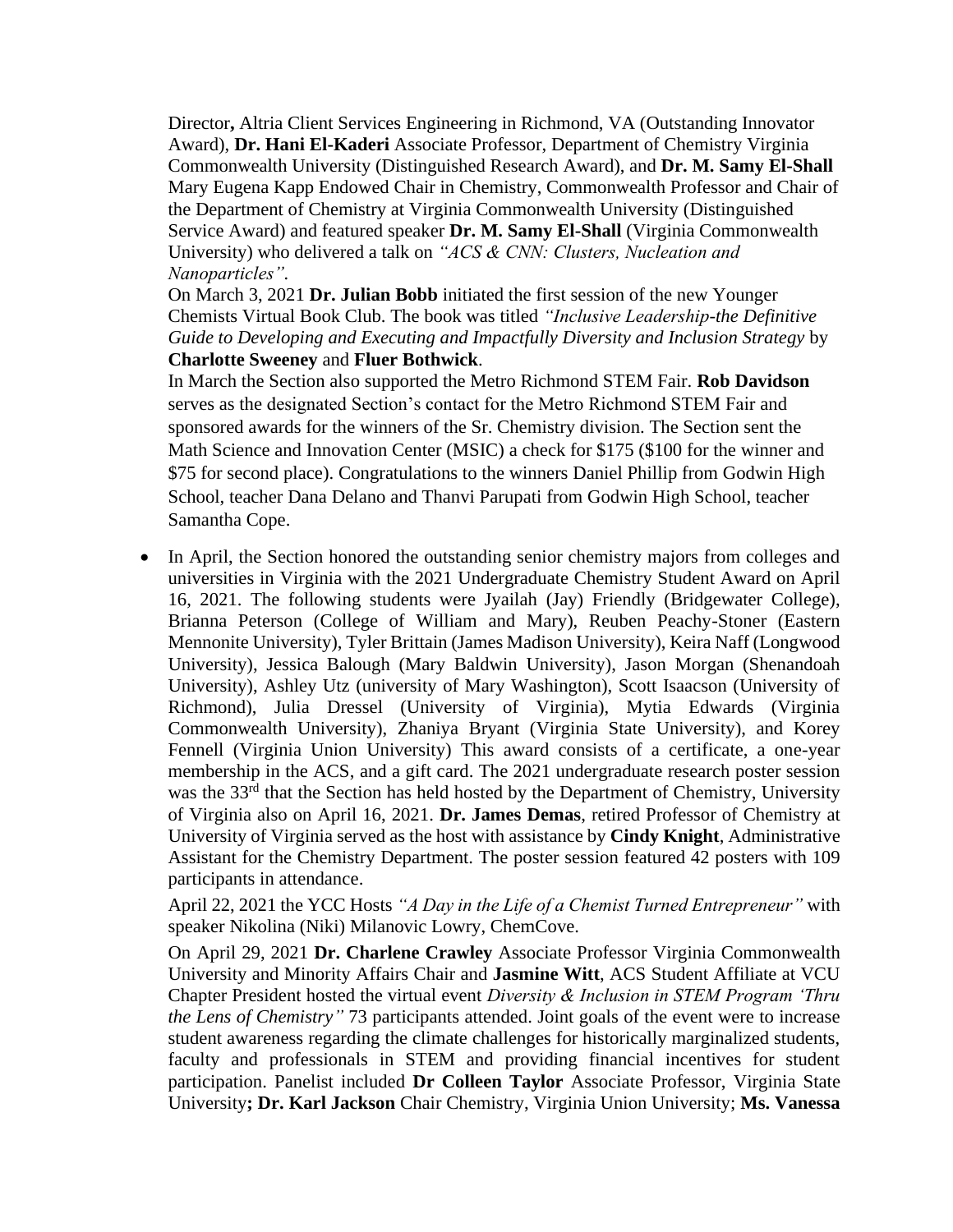Director**,** Altria Client Services Engineering in Richmond, VA (Outstanding Innovator Award), **Dr. Hani El-Kaderi** Associate Professor, Department of Chemistry Virginia Commonwealth University (Distinguished Research Award), and **Dr. M. Samy El-Shall** Mary Eugena Kapp Endowed Chair in Chemistry, Commonwealth Professor and Chair of the Department of Chemistry at Virginia Commonwealth University (Distinguished Service Award) and featured speaker **Dr. M. Samy El-Shall** (Virginia Commonwealth University) who delivered a talk on *"ACS & CNN: Clusters, Nucleation and Nanoparticles".*

On March 3, 2021 **Dr. Julian Bobb** initiated the first session of the new Younger Chemists Virtual Book Club. The book was titled *"Inclusive Leadership-the Definitive Guide to Developing and Executing and Impactfully Diversity and Inclusion Strategy* by **Charlotte Sweeney** and **Fluer Bothwick**.

In March the Section also supported the Metro Richmond STEM Fair. **Rob Davidson** serves as the designated Section's contact for the Metro Richmond STEM Fair and sponsored awards for the winners of the Sr. Chemistry division. The Section sent the Math Science and Innovation Center (MSIC) a check for \$175 (\$100 for the winner and \$75 for second place). Congratulations to the winners Daniel Phillip from Godwin High School, teacher Dana Delano and Thanvi Parupati from Godwin High School, teacher Samantha Cope.

• In April, the Section honored the outstanding senior chemistry majors from colleges and universities in Virginia with the 2021 Undergraduate Chemistry Student Award on April 16, 2021. The following students were Jyailah (Jay) Friendly (Bridgewater College), Brianna Peterson (College of William and Mary), Reuben Peachy-Stoner (Eastern Mennonite University), Tyler Brittain (James Madison University), Keira Naff (Longwood University), Jessica Balough (Mary Baldwin University), Jason Morgan (Shenandoah University), Ashley Utz (university of Mary Washington), Scott Isaacson (University of Richmond), Julia Dressel (University of Virginia), Mytia Edwards (Virginia Commonwealth University), Zhaniya Bryant (Virginia State University), and Korey Fennell (Virginia Union University) This award consists of a certificate, a one-year membership in the ACS, and a gift card. The 2021 undergraduate research poster session was the 33<sup>rd</sup> that the Section has held hosted by the Department of Chemistry, University of Virginia also on April 16, 2021. **Dr. James Demas**, retired Professor of Chemistry at University of Virginia served as the host with assistance by **Cindy Knight**, Administrative Assistant for the Chemistry Department. The poster session featured 42 posters with 109 participants in attendance.

April 22, 2021 the YCC Hosts *"A Day in the Life of a Chemist Turned Entrepreneur"* with speaker Nikolina (Niki) Milanovic Lowry, ChemCove.

On April 29, 2021 **Dr. Charlene Crawley** Associate Professor Virginia Commonwealth University and Minority Affairs Chair and **Jasmine Witt**, ACS Student Affiliate at VCU Chapter President hosted the virtual event *Diversity & Inclusion in STEM Program 'Thru the Lens of Chemistry"* 73 participants attended. Joint goals of the event were to increase student awareness regarding the climate challenges for historically marginalized students, faculty and professionals in STEM and providing financial incentives for student participation. Panelist included **Dr Colleen Taylor** Associate Professor, Virginia State University**; Dr. Karl Jackson** Chair Chemistry, Virginia Union University; **Ms. Vanessa**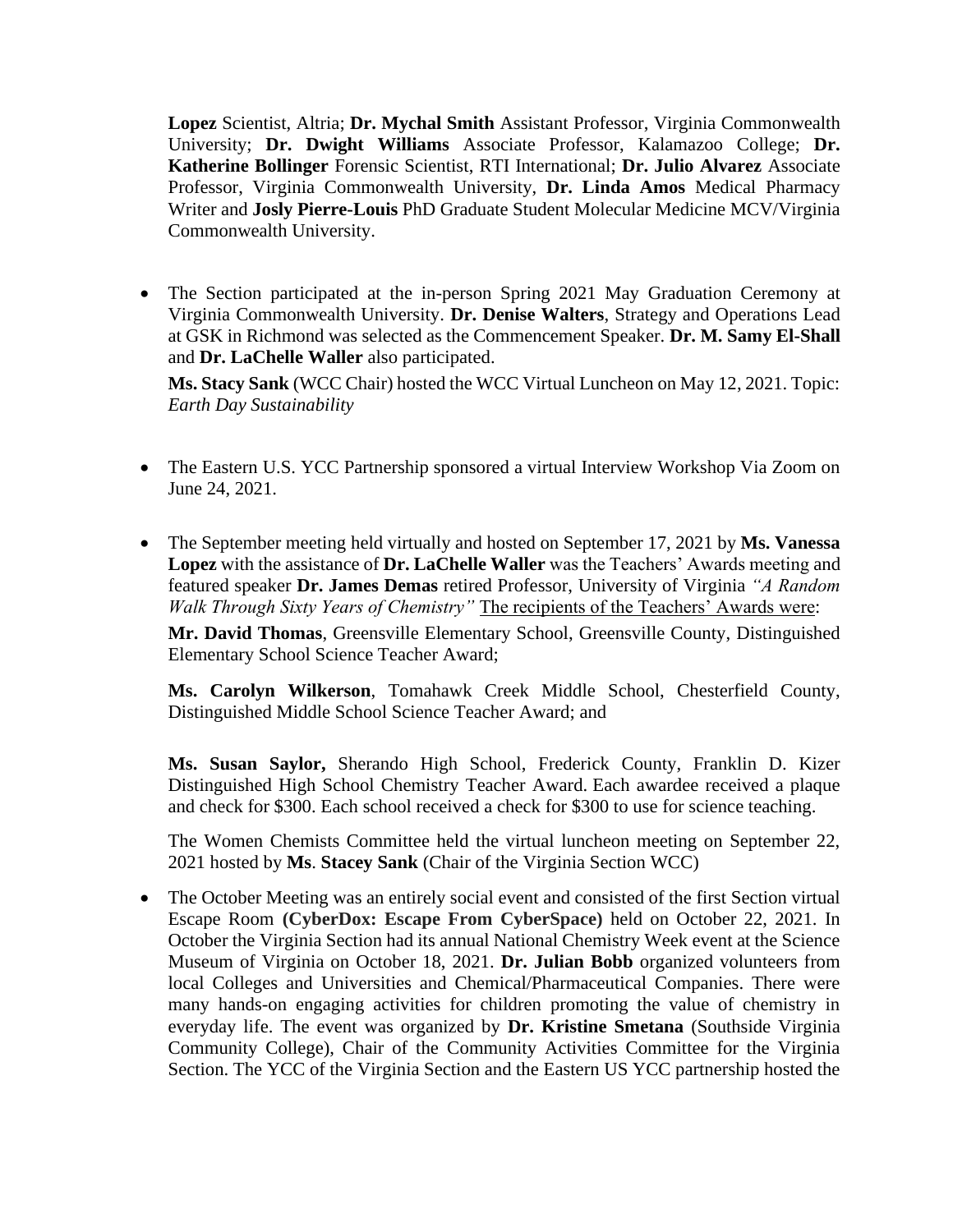**Lopez** Scientist, Altria; **Dr. Mychal Smith** Assistant Professor, Virginia Commonwealth University; **Dr. Dwight Williams** Associate Professor, Kalamazoo College; **Dr. Katherine Bollinger** Forensic Scientist, RTI International; **Dr. Julio Alvarez** Associate Professor, Virginia Commonwealth University, **Dr. Linda Amos** Medical Pharmacy Writer and **Josly Pierre-Louis** PhD Graduate Student Molecular Medicine MCV/Virginia Commonwealth University.

• The Section participated at the in-person Spring 2021 May Graduation Ceremony at Virginia Commonwealth University. **Dr. Denise Walters**, Strategy and Operations Lead at GSK in Richmond was selected as the Commencement Speaker. **Dr. M. Samy El-Shall** and **Dr. LaChelle Waller** also participated.

**Ms. Stacy Sank** (WCC Chair) hosted the WCC Virtual Luncheon on May 12, 2021. Topic: *Earth Day Sustainability* 

- The Eastern U.S. YCC Partnership sponsored a virtual Interview Workshop Via Zoom on June 24, 2021.
- The September meeting held virtually and hosted on September 17, 2021 by **Ms. Vanessa Lopez** with the assistance of **Dr. LaChelle Waller** was the Teachers' Awards meeting and featured speaker **Dr. James Demas** retired Professor, University of Virginia *"A Random Walk Through Sixty Years of Chemistry"* The recipients of the Teachers' Awards were:

**Mr. David Thomas**, Greensville Elementary School, Greensville County, Distinguished Elementary School Science Teacher Award;

**Ms. Carolyn Wilkerson**, Tomahawk Creek Middle School, Chesterfield County, Distinguished Middle School Science Teacher Award; and

**Ms. Susan Saylor,** Sherando High School, Frederick County, Franklin D. Kizer Distinguished High School Chemistry Teacher Award. Each awardee received a plaque and check for \$300. Each school received a check for \$300 to use for science teaching.

The Women Chemists Committee held the virtual luncheon meeting on September 22, 2021 hosted by **Ms**. **Stacey Sank** (Chair of the Virginia Section WCC)

• The October Meeting was an entirely social event and consisted of the first Section virtual Escape Room **(CyberDox: Escape From CyberSpace)** held on October 22, 2021. In October the Virginia Section had its annual National Chemistry Week event at the Science Museum of Virginia on October 18, 2021. **Dr. Julian Bobb** organized volunteers from local Colleges and Universities and Chemical/Pharmaceutical Companies. There were many hands-on engaging activities for children promoting the value of chemistry in everyday life. The event was organized by **Dr. Kristine Smetana** (Southside Virginia Community College), Chair of the Community Activities Committee for the Virginia Section. The YCC of the Virginia Section and the Eastern US YCC partnership hosted the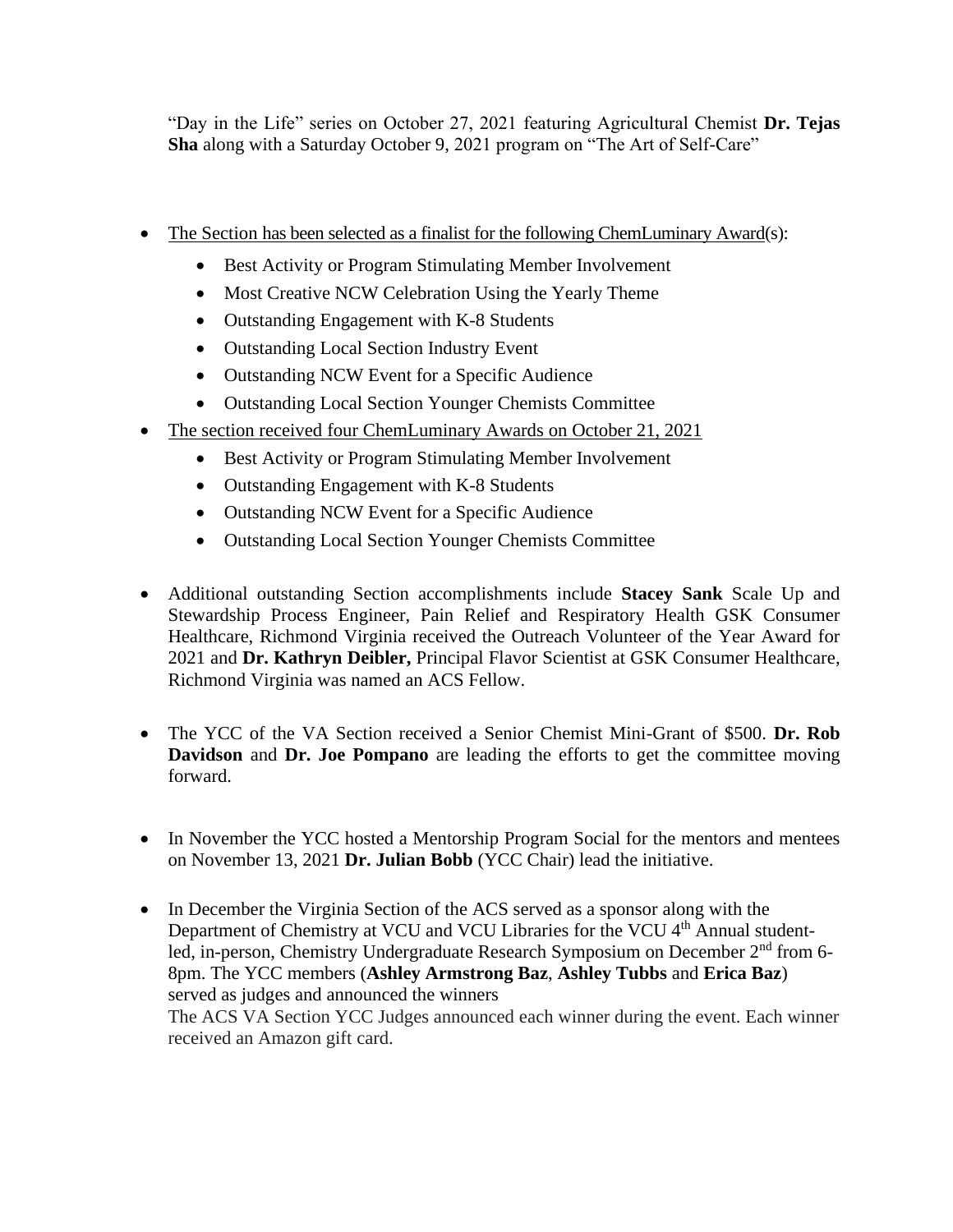"Day in the Life" series on October 27, 2021 featuring Agricultural Chemist **Dr. Tejas Sha** along with a Saturday October 9, 2021 program on "The Art of Self-Care"

- The Section has been selected as a finalist for the following ChemLuminary Award(s):
	- Best Activity or Program Stimulating Member Involvement
	- Most Creative NCW Celebration Using the Yearly Theme
	- Outstanding Engagement with K-8 Students
	- Outstanding Local Section Industry Event
	- Outstanding NCW Event for a Specific Audience
	- Outstanding Local Section Younger Chemists Committee
- The section received four ChemLuminary Awards on October 21, 2021
	- Best Activity or Program Stimulating Member Involvement
	- Outstanding Engagement with K-8 Students
	- Outstanding NCW Event for a Specific Audience
	- Outstanding Local Section Younger Chemists Committee
- Additional outstanding Section accomplishments include **Stacey Sank** Scale Up and Stewardship Process Engineer, Pain Relief and Respiratory Health GSK Consumer Healthcare, Richmond Virginia received the Outreach Volunteer of the Year Award for 2021 and **Dr. Kathryn Deibler,** Principal Flavor Scientist at GSK Consumer Healthcare, Richmond Virginia was named an ACS Fellow.
- The YCC of the VA Section received a Senior Chemist Mini-Grant of \$500. **Dr. Rob Davidson** and **Dr. Joe Pompano** are leading the efforts to get the committee moving forward.
- In November the YCC hosted a Mentorship Program Social for the mentors and mentees on November 13, 2021 **Dr. Julian Bobb** (YCC Chair) lead the initiative.
- In December the Virginia Section of the ACS served as a sponsor along with the Department of Chemistry at VCU and VCU Libraries for the VCU 4<sup>th</sup> Annual studentled, in-person, Chemistry Undergraduate Research Symposium on December 2<sup>nd</sup> from 6-8pm. The YCC members (**Ashley Armstrong Baz**, **Ashley Tubbs** and **Erica Baz**) served as judges and announced the winners The ACS VA Section YCC Judges announced each winner during the event. Each winner received an Amazon gift card.